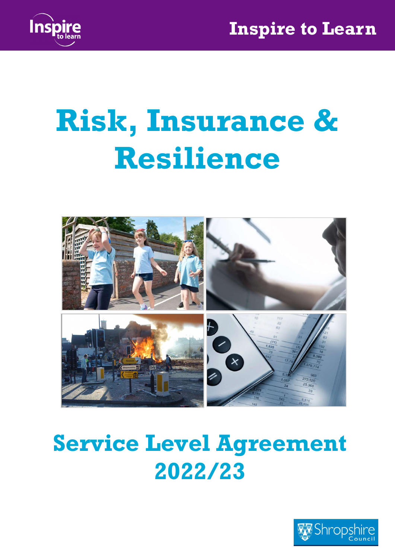

# Risk, Insurance & Resilience



## Service Level Agreement 2022/23

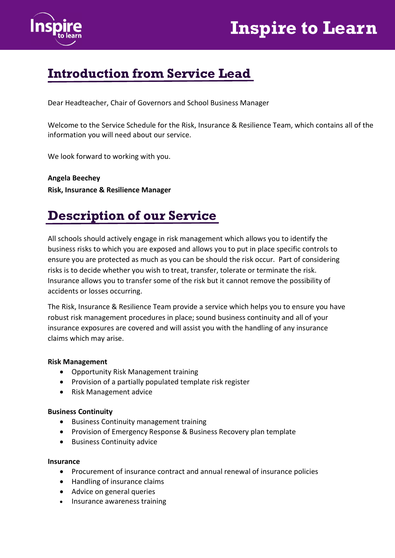



#### Introduction from Service Lead

Dear Headteacher, Chair of Governors and School Business Manager

Welcome to the Service Schedule for the Risk, Insurance & Resilience Team, which contains all of the information you will need about our service.

We look forward to working with you.

Angela Beechey Risk, Insurance & Resilience Manager

#### Description of our Service

All schools should actively engage in risk management which allows you to identify the business risks to which you are exposed and allows you to put in place specific controls to ensure you are protected as much as you can be should the risk occur. Part of considering risks is to decide whether you wish to treat, transfer, tolerate or terminate the risk. Insurance allows you to transfer some of the risk but it cannot remove the possibility of accidents or losses occurring.

The Risk, Insurance & Resilience Team provide a service which helps you to ensure you have robust risk management procedures in place; sound business continuity and all of your insurance exposures are covered and will assist you with the handling of any insurance claims which may arise.

#### Risk Management

- Opportunity Risk Management training
- Provision of a partially populated template risk register
- Risk Management advice

#### Business Continuity

- Business Continuity management training
- Provision of Emergency Response & Business Recovery plan template
- Business Continuity advice

#### Insurance

- Procurement of insurance contract and annual renewal of insurance policies
- Handling of insurance claims
- Advice on general queries
- Insurance awareness training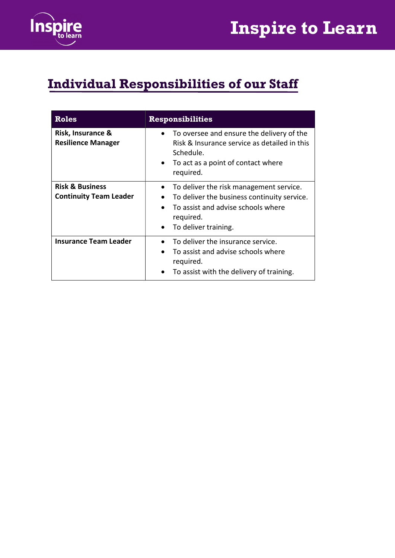

## Individual Responsibilities of our Staff

| <b>Roles</b>                                                | <b>Responsibilities</b>                                                                                                                                                                                               |  |
|-------------------------------------------------------------|-----------------------------------------------------------------------------------------------------------------------------------------------------------------------------------------------------------------------|--|
| Risk, Insurance &<br><b>Resilience Manager</b>              | To oversee and ensure the delivery of the<br>$\bullet$<br>Risk & Insurance service as detailed in this<br>Schedule.<br>To act as a point of contact where<br>$\bullet$<br>required.                                   |  |
| <b>Risk &amp; Business</b><br><b>Continuity Team Leader</b> | To deliver the risk management service.<br>$\bullet$<br>To deliver the business continuity service.<br>$\bullet$<br>To assist and advise schools where<br>$\bullet$<br>required.<br>To deliver training.<br>$\bullet$ |  |
| <b>Insurance Team Leader</b>                                | To deliver the insurance service.<br>To assist and advise schools where<br>$\bullet$<br>required.<br>To assist with the delivery of training.                                                                         |  |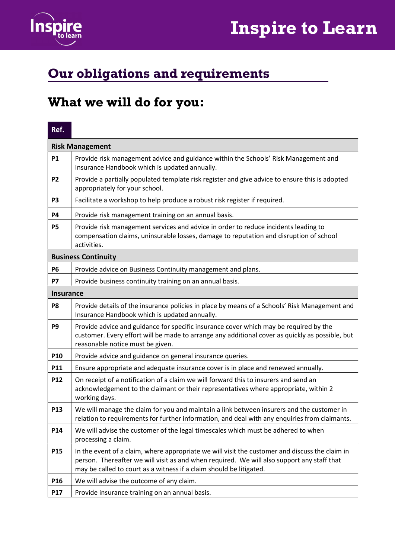



**Contract Contract** 

## Our obligations and requirements

#### What we will do for you:

| Ref.             |                                                                                                                                                                                                                                                                     |  |
|------------------|---------------------------------------------------------------------------------------------------------------------------------------------------------------------------------------------------------------------------------------------------------------------|--|
|                  | <b>Risk Management</b>                                                                                                                                                                                                                                              |  |
| <b>P1</b>        | Provide risk management advice and guidance within the Schools' Risk Management and<br>Insurance Handbook which is updated annually.                                                                                                                                |  |
| <b>P2</b>        | Provide a partially populated template risk register and give advice to ensure this is adopted<br>appropriately for your school.                                                                                                                                    |  |
| P <sub>3</sub>   | Facilitate a workshop to help produce a robust risk register if required.                                                                                                                                                                                           |  |
| P4               | Provide risk management training on an annual basis.                                                                                                                                                                                                                |  |
| <b>P5</b>        | Provide risk management services and advice in order to reduce incidents leading to<br>compensation claims, uninsurable losses, damage to reputation and disruption of school<br>activities.                                                                        |  |
|                  | <b>Business Continuity</b>                                                                                                                                                                                                                                          |  |
| <b>P6</b>        | Provide advice on Business Continuity management and plans.                                                                                                                                                                                                         |  |
| <b>P7</b>        | Provide business continuity training on an annual basis.                                                                                                                                                                                                            |  |
| <b>Insurance</b> |                                                                                                                                                                                                                                                                     |  |
| P <sub>8</sub>   | Provide details of the insurance policies in place by means of a Schools' Risk Management and<br>Insurance Handbook which is updated annually.                                                                                                                      |  |
| P <sub>9</sub>   | Provide advice and guidance for specific insurance cover which may be required by the<br>customer. Every effort will be made to arrange any additional cover as quickly as possible, but<br>reasonable notice must be given.                                        |  |
| P10              | Provide advice and guidance on general insurance queries.                                                                                                                                                                                                           |  |
| P11              | Ensure appropriate and adequate insurance cover is in place and renewed annually.                                                                                                                                                                                   |  |
| P12              | On receipt of a notification of a claim we will forward this to insurers and send an<br>acknowledgement to the claimant or their representatives where appropriate, within 2<br>working days.                                                                       |  |
| P13              | We will manage the claim for you and maintain a link between insurers and the customer in<br>relation to requirements for further information, and deal with any enquiries from claimants.                                                                          |  |
| P14              | We will advise the customer of the legal timescales which must be adhered to when<br>processing a claim.                                                                                                                                                            |  |
| P <sub>15</sub>  | In the event of a claim, where appropriate we will visit the customer and discuss the claim in<br>person. Thereafter we will visit as and when required. We will also support any staff that<br>may be called to court as a witness if a claim should be litigated. |  |
| P16              | We will advise the outcome of any claim.                                                                                                                                                                                                                            |  |
| P17              | Provide insurance training on an annual basis.                                                                                                                                                                                                                      |  |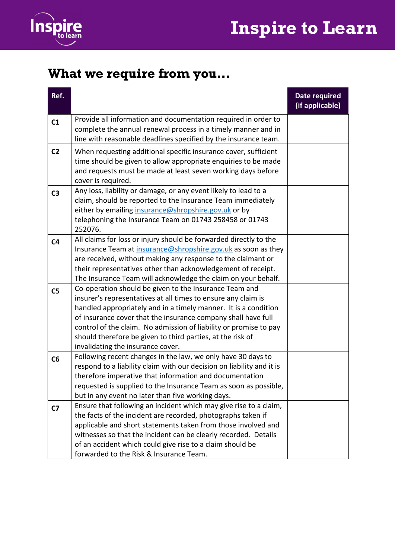



## What we require from you…

| Ref.           |                                                                                                                                                                                                                                                                                                                                                                                                                                     | Date required<br>(if applicable) |
|----------------|-------------------------------------------------------------------------------------------------------------------------------------------------------------------------------------------------------------------------------------------------------------------------------------------------------------------------------------------------------------------------------------------------------------------------------------|----------------------------------|
| C <sub>1</sub> | Provide all information and documentation required in order to<br>complete the annual renewal process in a timely manner and in<br>line with reasonable deadlines specified by the insurance team.                                                                                                                                                                                                                                  |                                  |
| C <sub>2</sub> | When requesting additional specific insurance cover, sufficient<br>time should be given to allow appropriate enquiries to be made<br>and requests must be made at least seven working days before<br>cover is required.                                                                                                                                                                                                             |                                  |
| C <sub>3</sub> | Any loss, liability or damage, or any event likely to lead to a<br>claim, should be reported to the Insurance Team immediately<br>either by emailing insurance@shropshire.gov.uk or by<br>telephoning the Insurance Team on 01743 258458 or 01743<br>252076.                                                                                                                                                                        |                                  |
| C <sub>4</sub> | All claims for loss or injury should be forwarded directly to the<br>Insurance Team at insurance@shropshire.gov.uk as soon as they<br>are received, without making any response to the claimant or<br>their representatives other than acknowledgement of receipt.<br>The Insurance Team will acknowledge the claim on your behalf.                                                                                                 |                                  |
| C <sub>5</sub> | Co-operation should be given to the Insurance Team and<br>insurer's representatives at all times to ensure any claim is<br>handled appropriately and in a timely manner. It is a condition<br>of insurance cover that the insurance company shall have full<br>control of the claim. No admission of liability or promise to pay<br>should therefore be given to third parties, at the risk of<br>invalidating the insurance cover. |                                  |
| C6             | Following recent changes in the law, we only have 30 days to<br>respond to a liability claim with our decision on liability and it is<br>therefore imperative that information and documentation<br>requested is supplied to the Insurance Team as soon as possible,<br>but in any event no later than five working days.                                                                                                           |                                  |
| C <sub>7</sub> | Ensure that following an incident which may give rise to a claim,<br>the facts of the incident are recorded, photographs taken if<br>applicable and short statements taken from those involved and<br>witnesses so that the incident can be clearly recorded. Details<br>of an accident which could give rise to a claim should be<br>forwarded to the Risk & Insurance Team.                                                       |                                  |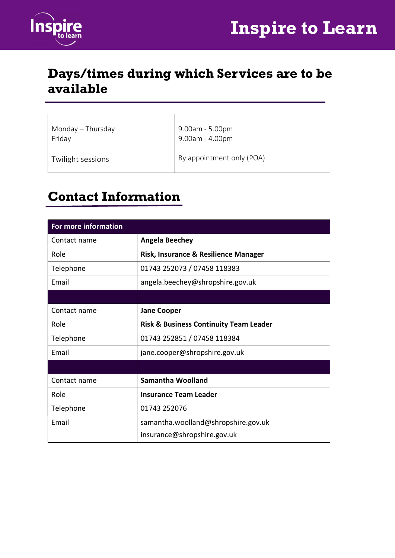



#### Days/times during which Services are to be available

| Monday - Thursday<br>Friday | $9.00$ am - 5.00pm<br>$9.00$ am - $4.00$ pm |
|-----------------------------|---------------------------------------------|
| Twilight sessions           | By appointment only (POA)                   |

#### Contact Information

| For more information |                                                   |  |  |
|----------------------|---------------------------------------------------|--|--|
| Contact name         | <b>Angela Beechey</b>                             |  |  |
| Role                 | Risk, Insurance & Resilience Manager              |  |  |
| Telephone            | 01743 252073 / 07458 118383                       |  |  |
| Email                | angela.beechey@shropshire.gov.uk                  |  |  |
|                      |                                                   |  |  |
| Contact name         | <b>Jane Cooper</b>                                |  |  |
| Role                 | <b>Risk &amp; Business Continuity Team Leader</b> |  |  |
| Telephone            | 01743 252851 / 07458 118384                       |  |  |
| Email                | jane.cooper@shropshire.gov.uk                     |  |  |
|                      |                                                   |  |  |
| Contact name         | Samantha Woolland                                 |  |  |
| Role                 | <b>Insurance Team Leader</b>                      |  |  |
| Telephone            | 01743 252076                                      |  |  |
| Email                | samantha.woolland@shropshire.gov.uk               |  |  |
|                      | insurance@shropshire.gov.uk                       |  |  |